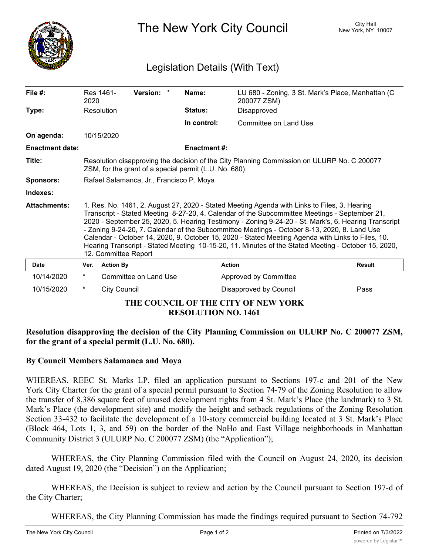

The New York City Council New York, NY 10007

# Legislation Details (With Text)

| File #:                | Res 1461-                                                                                                                                                                                                                                                                                                                                                                                                                                                                                                                                                                                                                                 |                     | Version: *            |  | Name:                      |                                     | LU 680 - Zoning, 3 St. Mark's Place, Manhattan (C |
|------------------------|-------------------------------------------------------------------------------------------------------------------------------------------------------------------------------------------------------------------------------------------------------------------------------------------------------------------------------------------------------------------------------------------------------------------------------------------------------------------------------------------------------------------------------------------------------------------------------------------------------------------------------------------|---------------------|-----------------------|--|----------------------------|-------------------------------------|---------------------------------------------------|
|                        | 2020                                                                                                                                                                                                                                                                                                                                                                                                                                                                                                                                                                                                                                      |                     |                       |  | 200077 ZSM)                |                                     |                                                   |
| Type:                  | Resolution                                                                                                                                                                                                                                                                                                                                                                                                                                                                                                                                                                                                                                |                     |                       |  | <b>Status:</b>             | Disapproved                         |                                                   |
|                        |                                                                                                                                                                                                                                                                                                                                                                                                                                                                                                                                                                                                                                           |                     |                       |  | In control:                | Committee on Land Use               |                                                   |
| On agenda:             |                                                                                                                                                                                                                                                                                                                                                                                                                                                                                                                                                                                                                                           | 10/15/2020          |                       |  |                            |                                     |                                                   |
| <b>Enactment date:</b> |                                                                                                                                                                                                                                                                                                                                                                                                                                                                                                                                                                                                                                           |                     |                       |  | <b>Enactment #:</b>        |                                     |                                                   |
| Title:                 | Resolution disapproving the decision of the City Planning Commission on ULURP No. C 200077<br>ZSM, for the grant of a special permit (L.U. No. 680).                                                                                                                                                                                                                                                                                                                                                                                                                                                                                      |                     |                       |  |                            |                                     |                                                   |
| Sponsors:              | Rafael Salamanca, Jr., Francisco P. Moya                                                                                                                                                                                                                                                                                                                                                                                                                                                                                                                                                                                                  |                     |                       |  |                            |                                     |                                                   |
| Indexes:               |                                                                                                                                                                                                                                                                                                                                                                                                                                                                                                                                                                                                                                           |                     |                       |  |                            |                                     |                                                   |
| <b>Attachments:</b>    | 1. Res. No. 1461, 2. August 27, 2020 - Stated Meeting Agenda with Links to Files, 3. Hearing<br>Transcript - Stated Meeting 8-27-20, 4. Calendar of the Subcommittee Meetings - September 21,<br>2020 - September 25, 2020, 5. Hearing Testimony - Zoning 9-24-20 - St. Mark's, 6. Hearing Transcript<br>- Zoning 9-24-20, 7. Calendar of the Subcommittee Meetings - October 8-13, 2020, 8. Land Use<br>Calendar - October 14, 2020, 9. October 15, 2020 - Stated Meeting Agenda with Links to Files, 10.<br>Hearing Transcript - Stated Meeting 10-15-20, 11. Minutes of the Stated Meeting - October 15, 2020,<br>12. Committee Report |                     |                       |  |                            |                                     |                                                   |
| <b>Date</b>            | Ver.                                                                                                                                                                                                                                                                                                                                                                                                                                                                                                                                                                                                                                      | <b>Action By</b>    |                       |  | <b>Action</b>              |                                     | <b>Result</b>                                     |
| 10/14/2020             | $^\star$                                                                                                                                                                                                                                                                                                                                                                                                                                                                                                                                                                                                                                  |                     | Committee on Land Use |  |                            | Approved by Committee               |                                                   |
| 10/15/2020             | $^\star$                                                                                                                                                                                                                                                                                                                                                                                                                                                                                                                                                                                                                                  | <b>City Council</b> |                       |  |                            | Disapproved by Council              | Pass                                              |
|                        |                                                                                                                                                                                                                                                                                                                                                                                                                                                                                                                                                                                                                                           |                     |                       |  | <b>RESOLUTION NO. 1461</b> | THE COUNCIL OF THE CITY OF NEW YORK |                                                   |

## **Resolution disapproving the decision of the City Planning Commission on ULURP No. C 200077 ZSM, for the grant of a special permit (L.U. No. 680).**

## **By Council Members Salamanca and Moya**

WHEREAS, REEC St. Marks LP, filed an application pursuant to Sections 197-c and 201 of the New York City Charter for the grant of a special permit pursuant to Section 74-79 of the Zoning Resolution to allow the transfer of 8,386 square feet of unused development rights from 4 St. Mark's Place (the landmark) to 3 St. Mark's Place (the development site) and modify the height and setback regulations of the Zoning Resolution Section 33-432 to facilitate the development of a 10-story commercial building located at 3 St. Mark's Place (Block 464, Lots 1, 3, and 59) on the border of the NoHo and East Village neighborhoods in Manhattan Community District 3 (ULURP No. C 200077 ZSM) (the "Application");

WHEREAS, the City Planning Commission filed with the Council on August 24, 2020, its decision dated August 19, 2020 (the "Decision") on the Application;

WHEREAS, the Decision is subject to review and action by the Council pursuant to Section 197-d of the City Charter;

WHEREAS, the City Planning Commission has made the findings required pursuant to Section 74-792